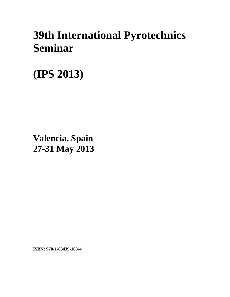## **39th International Pyrotechnics Seminar**

**(IPS 2013)** 

**Valencia, Spain 27-31 May 2013**

**ISBN: 978-1-63439-163-4**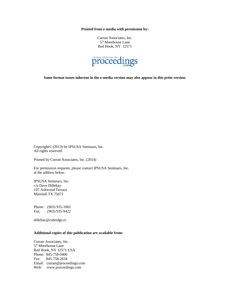**Printed from e-media with permission by:** 

Curran Associates, Inc. 57 Morehouse Lane Red Hook, NY 12571



**Some format issues inherent in the e-media version may also appear in this print version.** 

Copyright© (2013) by IPSUSA Seminars, Inc. All rights reserved.

Printed by Curran Associates, Inc. (2014)

For permission requests, please contact IPSUSA Seminars, Inc. at the address below.

IPSUSA Seminars, Inc. c/o Dave Dillehay 107 Ashwood Terrace Marshall TX 75672

Phone: (903) 935-1002 Fax: (903) 935-9422

dillehay@cobridge.tv

## **Additional copies of this publication are available from:**

Curran Associates, Inc. 57 Morehouse Lane Red Hook, NY 12571 USA Phone: 845-758-0400 Fax: 845-758-2634 Email: curran@proceedings.com Web: www.proceedings.com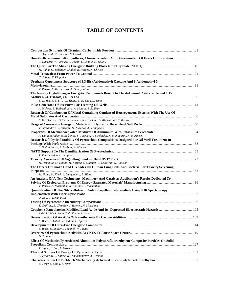## **TABLE OF CONTENTS**

| S. Dyjak, M. Wasilewska, S. Cudzilo                                                            |  |
|------------------------------------------------------------------------------------------------|--|
| C. Darwich, V. Forquet, G. Jacob, C. Sabaté, H. Delalu                                         |  |
|                                                                                                |  |
| M. Rahm, G. Bélanger-Chabot, R. Haiges, K. Christe                                             |  |
|                                                                                                |  |
| C. Sabaté, T. Klapotke                                                                         |  |
| Urethane Copolymers Structure of 3,3-Bis (Azidomethyl) Oxetane And 3-Azidomethyl-3-            |  |
|                                                                                                |  |
| V. Petrov, N. Kuznetsova, A. Gubaydullin                                                       |  |
| The Novelty High-Nitrogen Energetic Compounds Based On The 4-Amino-1.2.4-Triazole and 1,1'-    |  |
|                                                                                                |  |
| B.-D. Wu, Y.-L. Li, T.-L. Zhang, Z.-N. Zhou, L. Yang                                           |  |
|                                                                                                |  |
| A. Mokeev, L. Badretdinova, A. Marsov, I. Sadikov                                              |  |
| Research Of Combustion Of Metal-Containing Condensed Heterogeneous Systems With The Use Of     |  |
|                                                                                                |  |
| A. Korobkov, E. Belov, A. Beliakov, S. Grishkina, A. Khairullina, R. Iliasov                   |  |
|                                                                                                |  |
| V. Alexandrov, V. Bazotov, D. Nureeva, A. Vishnjakov                                           |  |
|                                                                                                |  |
| A. Dolgoborodov, N. Safronov, V. Teselkin, A. Streletskii, K. Monogarov, N. Muravyev           |  |
| Research Of Physical Stability Of Pyrotechnic Compositions Designed For Oil Well Treatment In  |  |
|                                                                                                |  |
| L. Badretdinova, A. Mokeev, A. Marsov                                                          |  |
|                                                                                                |  |
| T. Van Beneden, F. Peugeot                                                                     |  |
| M. Hemmila, M. Hihkio, H. Norppa, S. Suhonen, J. Callaway, G. Poulson                          |  |
| The Effects Of Smoke Hand Grenades On Human Lung Cells And Bacteria For Toxicity Screening     |  |
|                                                                                                |  |
| M. Hulst, W. Klerk, J. Langenberg, I. Alblas                                                   |  |
| An Analysis Of A New Technology, Machinery And Catalysts Application's Results Dedicated To    |  |
|                                                                                                |  |
| V. Petrov, A. Makhotkin, R. Khalitov, I. Makhotkin                                             |  |
| Quantification Of The Nitrocellulose In Solid Propellant Intermediate Using NIR Spectroscopy   |  |
|                                                                                                |  |
| Q. Zou, G. Deng, F. Li                                                                         |  |
|                                                                                                |  |
| T. Griffiths, E. Charsley, J. Rooney, H. Markham                                               |  |
| Graphene Nanoplatelets Modified Lead Azide And Its' Depressed ELectrostatic Hazards  105       |  |
| Z.-M. Li, M.-R. Zhou, T.-L. Zhang, L. Yang                                                     |  |
| A. Bach, P. Gibot, R. Gadiou, D. Spitzer                                                       |  |
|                                                                                                |  |
| B. Risse, D. Spitzer, F. Schnell, V. Pichot                                                    |  |
| D. Dilhan                                                                                      |  |
| Effect Of Mechanically Activated Aluminum-Polytetrafluoroethylene Composite Particles On Solid |  |
|                                                                                                |  |
| T. Sippel, S. Son, L. Groven                                                                   |  |
|                                                                                                |  |
| S. Vybornov, Z. Safina, R. Dimukhametov, A. Grishin                                            |  |
|                                                                                                |  |
| B. Terry, S. Son, L. Groven                                                                    |  |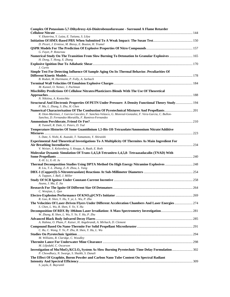| Complex Of Potassium-5,7-Dihydroxy-4,6-Dinitrobenzofuroxane - Surround A Flame Retarder                                                                                                                               |  |
|-----------------------------------------------------------------------------------------------------------------------------------------------------------------------------------------------------------------------|--|
| V. Ekaterina, Y. Luiza, E. Tatiana, S. Lilya                                                                                                                                                                          |  |
| D. Picart, J. Ermisse, M. Biessy, E. Bouton, H. Trumel                                                                                                                                                                |  |
| G. Fayet, P. Rotureau                                                                                                                                                                                                 |  |
| Numerical Study On The Transition From Slow Burning To Detonation In Granular Explosives  165<br>H. Dong, T. Hong, X. Zhang                                                                                           |  |
| J. Curtis                                                                                                                                                                                                             |  |
| Simple Test For Detecting Influence Of Sample Aging On Its Thermal Behavior. Peculiarities Of                                                                                                                         |  |
| B. Roduit, M. Hartmann, P. Folly, A. Sarbach<br>M. Kunzel, O. Nemec, J. Pachman                                                                                                                                       |  |
| Miscibility Predictions Of Cellulose Nitrates/Plasticizers Blends With The Use Of Theoretical                                                                                                                         |  |
| N. Nikitina, A. Kostochko<br>Structural And Electronic Properties Of PETN Under Pressure: A Density Functional Theory Study 194<br>P. Ma, L. Zhang, S. Zhu, H. Chen                                                   |  |
| R. Oton-Martinez, J. Garcia-Cascales, F. Sanchez-Velasco, G. Monreal-Gonzalez, F. Vera-Garcia, C. Bullon-                                                                                                             |  |
| Sanchez, D. Fernandez-Moratilla, F. Ramirez-Fernandez<br>R. Tunnell, R. Dale, G. Peters, D. Tod                                                                                                                       |  |
| Temperature Histories Of Some Guanidinium 1,5-Bis-1H-Tetrazolate/Ammonium Nitrate/Additive                                                                                                                            |  |
| S. Date, S. Nishi, K. Asazuki, T. Yamamoto, Y. Shiraishi<br>Experimental And Theoretical Investigations To A Multiplicity Of Thermites As Main Ingredient For<br>V. Weiser, S. Kelzenberg, S. Knapp, A. Raab, E. Roth |  |
| Molecular Dynamic Simulation Of Trans-1,4,5,8-Tetranitro-1,4,5,8-Tetraazadacalin (TNAD) With                                                                                                                          |  |
| X.-H. Li, X.-H. Ju<br>Thermal Decomposition Studies Using DPTA Method On High Energy Nitramine Explosives  248<br>R. Liu, T.-L. Zhang, Z.-N. Zhou, L. Yang                                                            |  |
| A. Tappan, J. Ball, J. Miller                                                                                                                                                                                         |  |
| Asuna, J. Ma, Z. Jia                                                                                                                                                                                                  |  |
| C. Wenjian, L. Qun                                                                                                                                                                                                    |  |
| R. Guo, R. Shen, Y. Hu, Y. ye, L. Wu, P. Zhu                                                                                                                                                                          |  |
| The Velocities Of Laser-Driven Flyers Under Different Acceleration Chambers And Laser Energies 274<br>S. Chen, L. Wu, R. Shen, Y. Ye, Y. Hu                                                                           |  |
| W. Zhang, R. Shen, L. Wu, Y. Ye, Y. Hu, P. Zhu                                                                                                                                                                        |  |
| A. Hahma, O. Pham, F. Kaiser, H. Angebrandt, A. Mirbach, D. Clement                                                                                                                                                   |  |
| C. Ru, C. Wang, Y. Ye, P. Zhu, R. Shen, Y. Hu, L. Wu                                                                                                                                                                  |  |
| M. Williams, R. Claridge, C. Woodley                                                                                                                                                                                  |  |
| M. Liljedahl, C. Oscarson<br>Investigation of Mn/MnO <sub>2</sub> /KCLO <sub>4</sub> System As Slow Burning Pyrotechnic Time Delay Formulation 302                                                                    |  |
| P. Chowdhury, N. Swarge, S. Shaikh, S. Danali<br>The Effect Of Graphite, Boron Powder and Carbon Nano Tube Content On Spectral Radiant                                                                                |  |
| S. yayla, E. Bayramli                                                                                                                                                                                                 |  |
|                                                                                                                                                                                                                       |  |